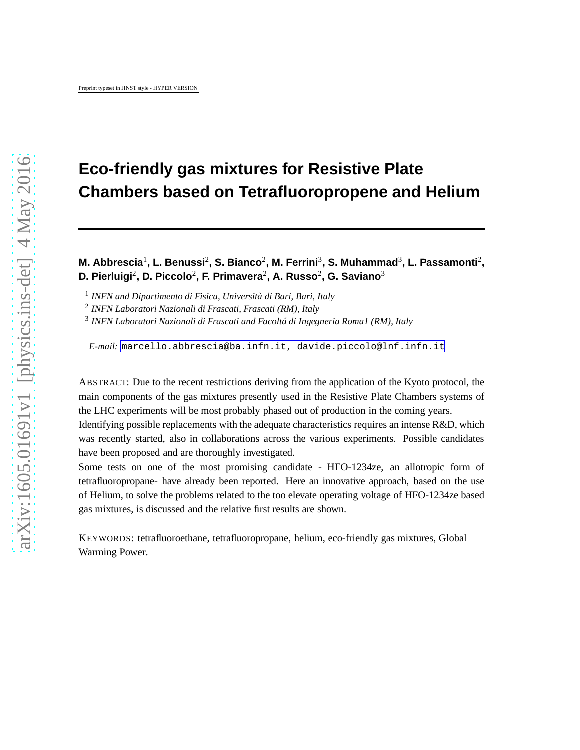# **Eco-friendly gas mixtures for Resistive Plate Chambers based on Tetrafluoropropene and Helium**

# **M. Abbrescia**<sup>1</sup> **, L. Benussi**<sup>2</sup> **, S. Bianco**<sup>2</sup> **, M. Ferrini**<sup>3</sup> **, S. Muhammad**<sup>3</sup> **, L. Passamonti**<sup>2</sup> **, D. Pierluigi**<sup>2</sup> **, D. Piccolo**<sup>2</sup> **, F. Primavera**<sup>2</sup> **, A. Russo**<sup>2</sup> **, G. Saviano**<sup>3</sup>

1 *INFN and Dipartimento di Fisica, Università di Bari, Bari, Italy*

2 *INFN Laboratori Nazionali di Frascati, Frascati (RM), Italy*

3 *INFN Laboratori Nazionali di Frascati and Facoltá di Ingegneria Roma1 (RM), Italy*

*E-mail:* [marcello.abbrescia@ba.infn.it, davide.piccolo@lnf.infn.it](mailto:marcello.abbrescia@ba.infn.it, davide.piccolo@lnf.infn.it)

ABSTRACT: Due to the recent restrictions deriving from the application of the Kyoto protocol, the main components of the gas mixtures presently used in the Resistive Plate Chambers systems of the LHC experiments will be most probably phased out of production in the coming years.

Identifying possible replacements with the adequate characteristics requires an intense R&D, which was recently started, also in collaborations across the various experiments. Possible candidates have been proposed and are thoroughly investigated.

Some tests on one of the most promising candidate - HFO-1234ze, an allotropic form of tetrafluoropropane- have already been reported. Here an innovative approach, based on the use of Helium, to solve the problems related to the too elevate operating voltage of HFO-1234ze based gas mixtures, is discussed and the relative first results are shown.

KEYWORDS: tetrafluoroethane, tetrafluoropropane, helium, eco-friendly gas mixtures, Global Warming Power.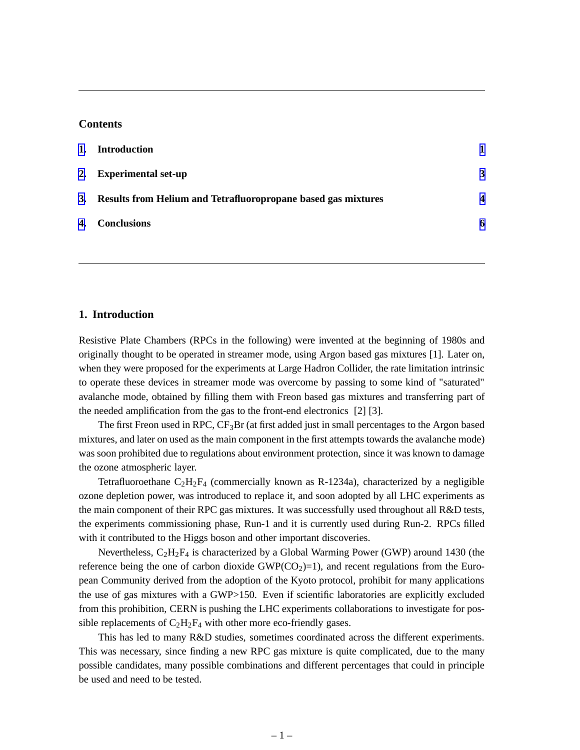# **Contents**

| 1. | Introduction                                                     |                         |
|----|------------------------------------------------------------------|-------------------------|
|    | 2. Experimental set-up                                           | 3                       |
|    | 3. Results from Helium and Tetrafluoropropane based gas mixtures | $\overline{\mathbf{4}}$ |
|    | 4. Conclusions                                                   | 6                       |

#### **1. Introduction**

Resistive Plate Chambers (RPCs in the following) were invented at the beginning of 1980s and originally thought to be operated in streamer mode, using Argon based gas mixtures [1]. Later on, when they were proposed for the experiments at Large Hadron Collider, the rate limitation intrinsic to operate these devices in streamer mode was overcome by passing to some kind of "saturated" avalanche mode, obtained by filling them with Freon based gas mixtures and transferring part of the needed amplification from the gas to the front-end electronics [2] [3].

The first Freon used in RPC,  $CF_3Br$  (at first added just in small percentages to the Argon based mixtures, and later on used as the main component in the first attempts towards the avalanche mode) was soon prohibited due to regulations about environment protection, since it was known to damage the ozone atmospheric layer.

Tetrafluoroethane  $C_2H_2F_4$  (commercially known as R-1234a), characterized by a negligible ozone depletion power, was introduced to replace it, and soon adopted by all LHC experiments as the main component of their RPC gas mixtures. It was successfully used throughout all R&D tests, the experiments commissioning phase, Run-1 and it is currently used during Run-2. RPCs filled with it contributed to the Higgs boson and other important discoveries.

Nevertheless,  $C_2H_2F_4$  is characterized by a Global Warming Power (GWP) around 1430 (the reference being the one of carbon dioxide  $GWP(CO_2)=1$ ), and recent regulations from the European Community derived from the adoption of the Kyoto protocol, prohibit for many applications the use of gas mixtures with a GWP>150. Even if scientific laboratories are explicitly excluded from this prohibition, CERN is pushing the LHC experiments collaborations to investigate for possible replacements of  $C_2H_2F_4$  with other more eco-friendly gases.

This has led to many R&D studies, sometimes coordinated across the different experiments. This was necessary, since finding a new RPC gas mixture is quite complicated, due to the many possible candidates, many possible combinations and different percentages that could in principle be used and need to be tested.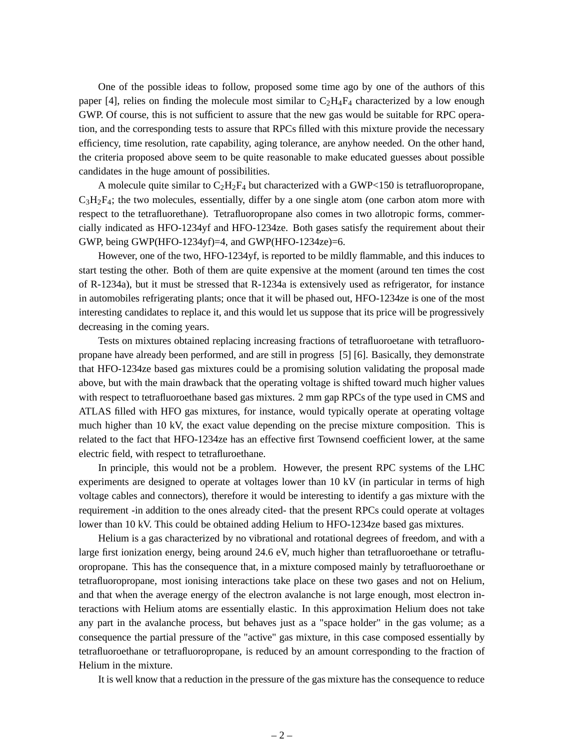One of the possible ideas to follow, proposed some time ago by one of the authors of this paper [4], relies on finding the molecule most similar to  $C_2H_4F_4$  characterized by a low enough GWP. Of course, this is not sufficient to assure that the new gas would be suitable for RPC operation, and the corresponding tests to assure that RPCs filled with this mixture provide the necessary efficiency, time resolution, rate capability, aging tolerance, are anyhow needed. On the other hand, the criteria proposed above seem to be quite reasonable to make educated guesses about possible candidates in the huge amount of possibilities.

A molecule quite similar to  $C_2H_2F_4$  but characterized with a GWP<150 is tetrafluoropropane,  $C_3H_2F_4$ ; the two molecules, essentially, differ by a one single atom (one carbon atom more with respect to the tetrafluorethane). Tetrafluoropropane also comes in two allotropic forms, commercially indicated as HFO-1234yf and HFO-1234ze. Both gases satisfy the requirement about their GWP, being GWP(HFO-1234yf)=4, and GWP(HFO-1234ze)=6.

However, one of the two, HFO-1234yf, is reported to be mildly flammable, and this induces to start testing the other. Both of them are quite expensive at the moment (around ten times the cost of R-1234a), but it must be stressed that R-1234a is extensively used as refrigerator, for instance in automobiles refrigerating plants; once that it will be phased out, HFO-1234ze is one of the most interesting candidates to replace it, and this would let us suppose that its price will be progressively decreasing in the coming years.

Tests on mixtures obtained replacing increasing fractions of tetrafluoroetane with tetrafluoropropane have already been performed, and are still in progress [5] [6]. Basically, they demonstrate that HFO-1234ze based gas mixtures could be a promising solution validating the proposal made above, but with the main drawback that the operating voltage is shifted toward much higher values with respect to tetrafluoroethane based gas mixtures. 2 mm gap RPCs of the type used in CMS and ATLAS filled with HFO gas mixtures, for instance, would typically operate at operating voltage much higher than 10 kV, the exact value depending on the precise mixture composition. This is related to the fact that HFO-1234ze has an effective first Townsend coefficient lower, at the same electric field, with respect to tetrafluroethane.

In principle, this would not be a problem. However, the present RPC systems of the LHC experiments are designed to operate at voltages lower than 10 kV (in particular in terms of high voltage cables and connectors), therefore it would be interesting to identify a gas mixture with the requirement -in addition to the ones already cited- that the present RPCs could operate at voltages lower than 10 kV. This could be obtained adding Helium to HFO-1234ze based gas mixtures.

Helium is a gas characterized by no vibrational and rotational degrees of freedom, and with a large first ionization energy, being around 24.6 eV, much higher than tetrafluoroethane or tetrafluoropropane. This has the consequence that, in a mixture composed mainly by tetrafluoroethane or tetrafluoropropane, most ionising interactions take place on these two gases and not on Helium, and that when the average energy of the electron avalanche is not large enough, most electron interactions with Helium atoms are essentially elastic. In this approximation Helium does not take any part in the avalanche process, but behaves just as a "space holder" in the gas volume; as a consequence the partial pressure of the "active" gas mixture, in this case composed essentially by tetrafluoroethane or tetrafluoropropane, is reduced by an amount corresponding to the fraction of Helium in the mixture.

It is well know that a reduction in the pressure of the gas mixture has the consequence to reduce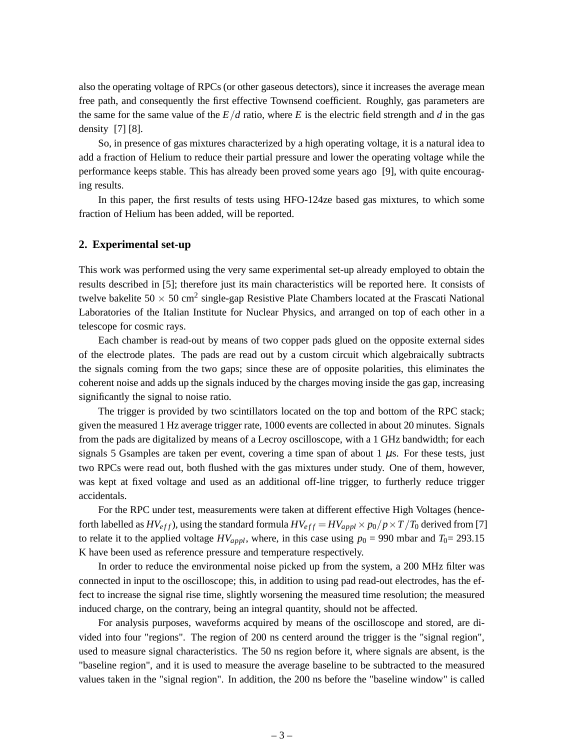<span id="page-3-0"></span>also the operating voltage of RPCs (or other gaseous detectors), since it increases the average mean free path, and consequently the first effective Townsend coefficient. Roughly, gas parameters are the same for the same value of the  $E/d$  ratio, where E is the electric field strength and  $d$  in the gas density [7] [8].

So, in presence of gas mixtures characterized by a high operating voltage, it is a natural idea to add a fraction of Helium to reduce their partial pressure and lower the operating voltage while the performance keeps stable. This has already been proved some years ago [9], with quite encouraging results.

In this paper, the first results of tests using HFO-124ze based gas mixtures, to which some fraction of Helium has been added, will be reported.

# **2. Experimental set-up**

This work was performed using the very same experimental set-up already employed to obtain the results described in [5]; therefore just its main characteristics will be reported here. It consists of twelve bakelite  $50 \times 50 \text{ cm}^2$  single-gap Resistive Plate Chambers located at the Frascati National Laboratories of the Italian Institute for Nuclear Physics, and arranged on top of each other in a telescope for cosmic rays.

Each chamber is read-out by means of two copper pads glued on the opposite external sides of the electrode plates. The pads are read out by a custom circuit which algebraically subtracts the signals coming from the two gaps; since these are of opposite polarities, this eliminates the coherent noise and adds up the signals induced by the charges moving inside the gas gap, increasing significantly the signal to noise ratio.

The trigger is provided by two scintillators located on the top and bottom of the RPC stack; given the measured 1 Hz average trigger rate, 1000 events are collected in about 20 minutes. Signals from the pads are digitalized by means of a Lecroy oscilloscope, with a 1 GHz bandwidth; for each signals 5 Gsamples are taken per event, covering a time span of about 1  $\mu$ s. For these tests, just two RPCs were read out, both flushed with the gas mixtures under study. One of them, however, was kept at fixed voltage and used as an additional off-line trigger, to furtherly reduce trigger accidentals.

For the RPC under test, measurements were taken at different effective High Voltages (henceforth labelled as  $HV_{eff}$ ), using the standard formula  $HV_{eff} = HV_{appl} \times p_0/p \times T/T_0$  derived from [7] to relate it to the applied voltage  $HV_{apply}$ , where, in this case using  $p_0 = 990$  mbar and  $T_0 = 293.15$ K have been used as reference pressure and temperature respectively.

In order to reduce the environmental noise picked up from the system, a 200 MHz filter was connected in input to the oscilloscope; this, in addition to using pad read-out electrodes, has the effect to increase the signal rise time, slightly worsening the measured time resolution; the measured induced charge, on the contrary, being an integral quantity, should not be affected.

For analysis purposes, waveforms acquired by means of the oscilloscope and stored, are divided into four "regions". The region of 200 ns centerd around the trigger is the "signal region", used to measure signal characteristics. The 50 ns region before it, where signals are absent, is the "baseline region", and it is used to measure the average baseline to be subtracted to the measured values taken in the "signal region". In addition, the 200 ns before the "baseline window" is called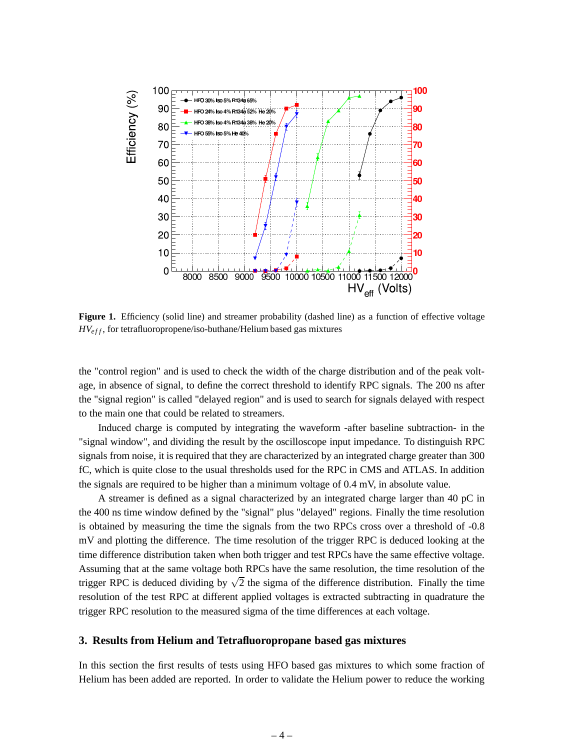<span id="page-4-0"></span>

Figure 1. Efficiency (solid line) and streamer probability (dashed line) as a function of effective voltage  $H V_{eff}$ , for tetrafluoropropene/iso-buthane/Helium based gas mixtures

the "control region" and is used to check the width of the charge distribution and of the peak voltage, in absence of signal, to define the correct threshold to identify RPC signals. The 200 ns after the "signal region" is called "delayed region" and is used to search for signals delayed with respect to the main one that could be related to streamers.

Induced charge is computed by integrating the waveform -after baseline subtraction- in the "signal window", and dividing the result by the oscilloscope input impedance. To distinguish RPC signals from noise, it is required that they are characterized by an integrated charge greater than 300 fC, which is quite close to the usual thresholds used for the RPC in CMS and ATLAS. In addition the signals are required to be higher than a minimum voltage of 0.4 mV, in absolute value.

A streamer is defined as a signal characterized by an integrated charge larger than 40 pC in the 400 ns time window defined by the "signal" plus "delayed" regions. Finally the time resolution is obtained by measuring the time the signals from the two RPCs cross over a threshold of -0.8 mV and plotting the difference. The time resolution of the trigger RPC is deduced looking at the time difference distribution taken when both trigger and test RPCs have the same effective voltage. Assuming that at the same voltage both RPCs have the same resolution, the time resolution of the trigger RPC is deduced dividing by  $\sqrt{2}$  the sigma of the difference distribution. Finally the time resolution of the test RPC at different applied voltages is extracted subtracting in quadrature the trigger RPC resolution to the measured sigma of the time differences at each voltage.

## **3. Results from Helium and Tetrafluoropropane based gas mixtures**

In this section the first results of tests using HFO based gas mixtures to which some fraction of Helium has been added are reported. In order to validate the Helium power to reduce the working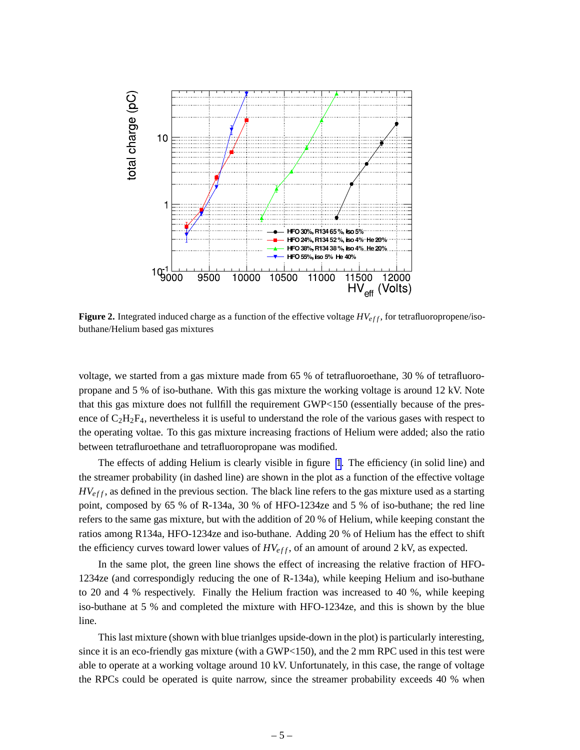<span id="page-5-0"></span>

**Figure 2.** Integrated induced charge as a function of the effective voltage  $H V_{eff}$ , for tetrafluoropropene/isobuthane/Helium based gas mixtures

voltage, we started from a gas mixture made from 65 % of tetrafluoroethane, 30 % of tetrafluoropropane and 5 % of iso-buthane. With this gas mixture the working voltage is around 12 kV. Note that this gas mixture does not fullfill the requirement GWP<150 (essentially because of the presence of  $C_2H_2F_4$ , nevertheless it is useful to understand the role of the various gases with respect to the operating voltae. To this gas mixture increasing fractions of Helium were added; also the ratio between tetrafluroethane and tetrafluoropropane was modified.

The effects of adding Helium is clearly visible in figure [1](#page-4-0). The efficiency (in solid line) and the streamer probability (in dashed line) are shown in the plot as a function of the effective voltage  $H V<sub>eff</sub>$ , as defined in the previous section. The black line refers to the gas mixture used as a starting point, composed by 65 % of R-134a, 30 % of HFO-1234ze and 5 % of iso-buthane; the red line refers to the same gas mixture, but with the addition of 20 % of Helium, while keeping constant the ratios among R134a, HFO-1234ze and iso-buthane. Adding 20 % of Helium has the effect to shift the efficiency curves toward lower values of  $H V_{eff}$ , of an amount of around 2 kV, as expected.

In the same plot, the green line shows the effect of increasing the relative fraction of HFO-1234ze (and correspondigly reducing the one of R-134a), while keeping Helium and iso-buthane to 20 and 4 % respectively. Finally the Helium fraction was increased to 40 %, while keeping iso-buthane at 5 % and completed the mixture with HFO-1234ze, and this is shown by the blue line.

This last mixture (shown with blue trianlges upside-down in the plot) is particularly interesting, since it is an eco-friendly gas mixture (with a GWP<150), and the 2 mm RPC used in this test were able to operate at a working voltage around 10 kV. Unfortunately, in this case, the range of voltage the RPCs could be operated is quite narrow, since the streamer probability exceeds 40 % when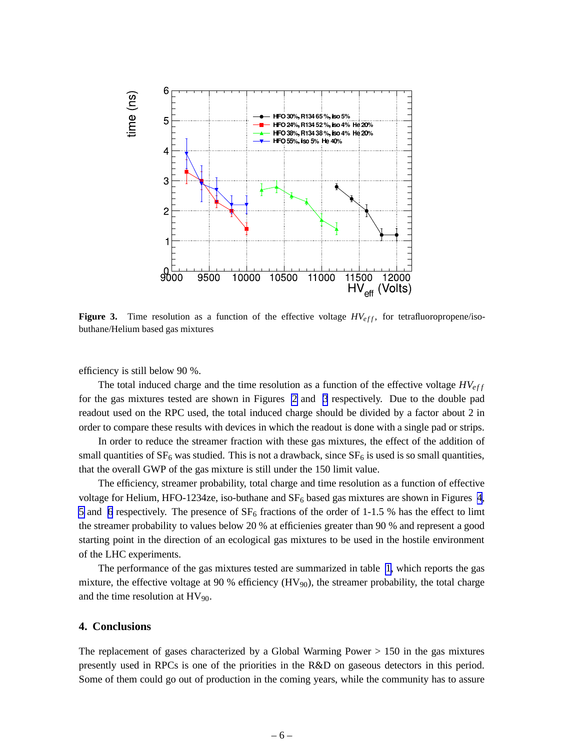<span id="page-6-0"></span>

**Figure 3.** Time resolution as a function of the effective voltage  $H V_{eff}$ , for tetrafluoropropene/isobuthane/Helium based gas mixtures

efficiency is still below 90 %.

The total induced charge and the time resolution as a function of the effective voltage  $H V_{eff}$ for the gas mixtures tested are shown in Figures [2](#page-5-0) and 3 respectively. Due to the double pad readout used on the RPC used, the total induced charge should be divided by a factor about 2 in order to compare these results with devices in which the readout is done with a single pad or strips.

In order to reduce the streamer fraction with these gas mixtures, the effect of the addition of small quantities of  $SF_6$  was studied. This is not a drawback, since  $SF_6$  is used is so small quantities, that the overall GWP of the gas mixture is still under the 150 limit value.

The efficiency, streamer probability, total charge and time resolution as a function of effective voltage for Helium, HFO-1234ze, iso-buthane and  $SF_6$  based gas mixtures are shown in Figures [4](#page-7-0), [5](#page-7-0) and [6](#page-8-0) respectively. The presence of  $SF_6$  fractions of the order of 1-1.5 % has the effect to limt the streamer probability to values below 20 % at efficienies greater than 90 % and represent a good starting point in the direction of an ecological gas mixtures to be used in the hostile environment of the LHC experiments.

The performance of the gas mixtures tested are summarized in table [1,](#page-8-0) which reports the gas mixture, the effective voltage at 90 % efficiency  $(HV_{90})$ , the streamer probability, the total charge and the time resolution at  $HV_{90}$ .

#### **4. Conclusions**

The replacement of gases characterized by a Global Warming Power > 150 in the gas mixtures presently used in RPCs is one of the priorities in the R&D on gaseous detectors in this period. Some of them could go out of production in the coming years, while the community has to assure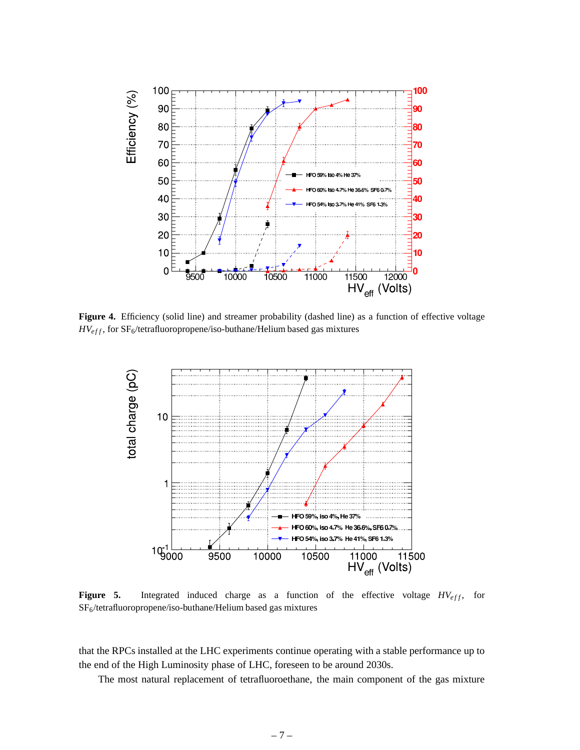<span id="page-7-0"></span>

**Figure 4.** Efficiency (solid line) and streamer probability (dashed line) as a function of effective voltage *HV*<sub>eff</sub>, for SF<sub>6</sub>/tetrafluoropropene/iso-buthane/Helium based gas mixtures



**Figure 5.** Integrated induced charge as a function of the effective voltage  $H V_{eff}$ , for SF6/tetrafluoropropene/iso-buthane/Helium based gas mixtures

that the RPCs installed at the LHC experiments continue operating with a stable performance up to the end of the High Luminosity phase of LHC, foreseen to be around 2030s.

The most natural replacement of tetrafluoroethane, the main component of the gas mixture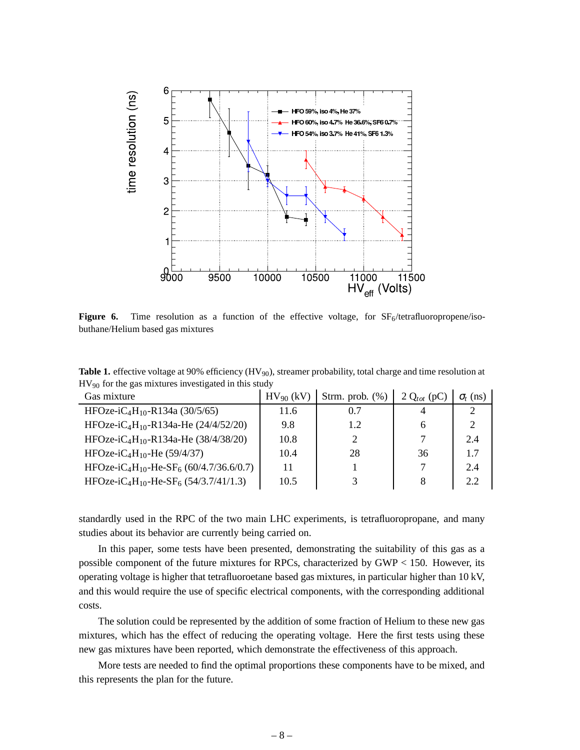<span id="page-8-0"></span>

**Figure 6.** Time resolution as a function of the effective voltage, for  $SF_6/tetrafluoropropene/iso$ buthane/Helium based gas mixtures

**Table 1.** effective voltage at 90% efficiency (HV<sub>90</sub>), streamer probability, total charge and time resolution at HV<sup>90</sup> for the gas mixtures investigated in this study

| $HV_{90}$ (kV) | Strm. prob. $(\%)$ | 2 $Q_{tot}$ (pC | $\sigma_t$ (ns)       |
|----------------|--------------------|-----------------|-----------------------|
| 11.6           | 0.7                |                 |                       |
| 9.8            | 1.2                | h               | $\mathcal{D}_{\cdot}$ |
| 10.8           | 2                  |                 | 2.4                   |
| 10.4           | 28                 | 36              | 1.7                   |
| 11             |                    |                 | 2.4                   |
| 10.5           |                    | 8               | 2.2                   |
|                |                    |                 |                       |

standardly used in the RPC of the two main LHC experiments, is tetrafluoropropane, and many studies about its behavior are currently being carried on.

In this paper, some tests have been presented, demonstrating the suitability of this gas as a possible component of the future mixtures for RPCs, characterized by GWP < 150. However, its operating voltage is higher that tetrafluoroetane based gas mixtures, in particular higher than 10 kV, and this would require the use of specific electrical components, with the corresponding additional costs.

The solution could be represented by the addition of some fraction of Helium to these new gas mixtures, which has the effect of reducing the operating voltage. Here the first tests using these new gas mixtures have been reported, which demonstrate the effectiveness of this approach.

More tests are needed to find the optimal proportions these components have to be mixed, and this represents the plan for the future.